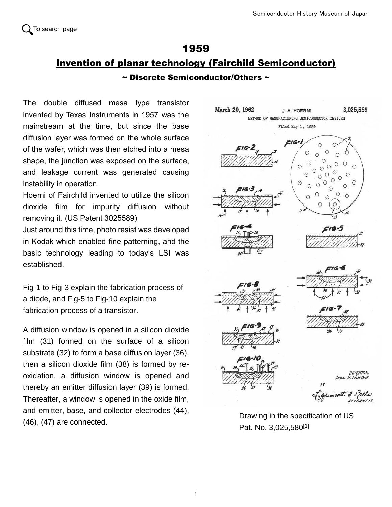## 1959 Invention of planar technology (Fairchild Semiconductor)  $\sim$  Discrete Semiconductor/Others  $\sim$

The double diffused mesa type transistor invented by Texas Instruments in 1957 was the mainstream at the time, but since the base diffusion layer was formed on the whole surface of the wafer, which was then etched into a mesa shape, the junction was exposed on the surface, and leakage current was generated causing instability in operation.

Hoerni of Fairchild invented to utilize the silicon dioxide film for impurity diffusion without removing it. (US Patent 3025589)

Just around this time, photo resist was developed in Kodak which enabled fine patterning, and the basic technology leading to today's LSI was established.

Fig-1 to Fig-3 explain the fabrication process of a diode, and Fig-5 to Fig-10 explain the fabrication process of a transistor.

A diffusion window is opened in a silicon dioxide film (31) formed on the surface of a silicon substrate (32) to form a base diffusion layer (36), then a silicon dioxide film (38) is formed by reoxidation, a diffusion window is opened and thereby an emitter diffusion layer (39) is formed. Thereafter, a window is opened in the oxide film, and emitter, base, and collector electrodes (44), (46), (47) are connected.